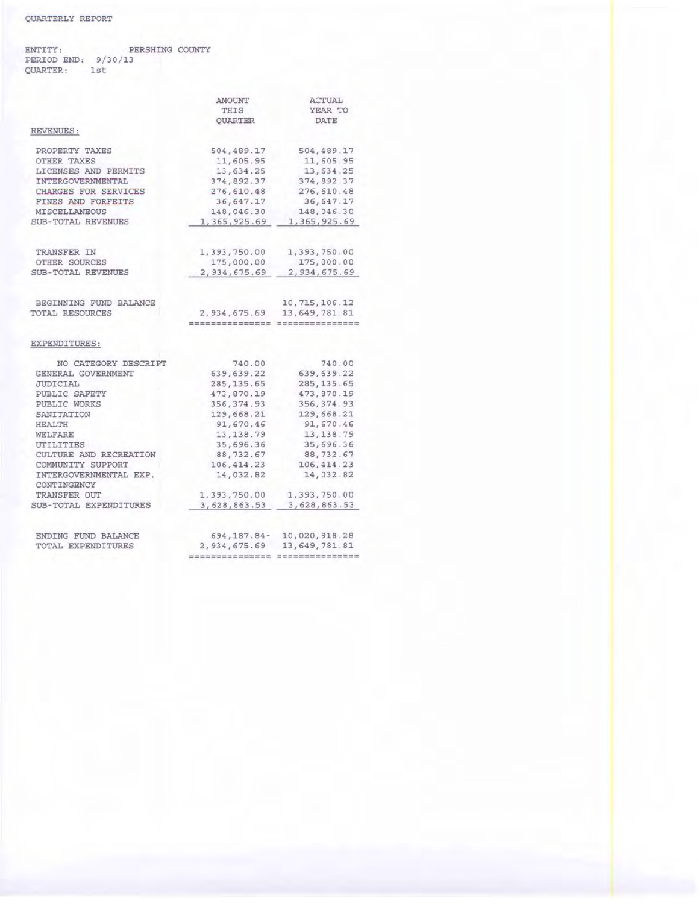## ENTITY: PERIOD END: 9/30/13 QUARTER: 1st PERSHING COUNTY

|                                       | AMOUNT                 | ACTUAL                                                              |
|---------------------------------------|------------------------|---------------------------------------------------------------------|
|                                       | THIS<br><b>OUARTER</b> | YEAR TO<br><b>DATE</b>                                              |
|                                       |                        |                                                                     |
| PROPERTY TAXES                        | 504, 489.17            | 504,489.17                                                          |
| OTHER TAXES                           | 11,605.95              | 11,605.95                                                           |
| LICENSES AND PERMITS                  | 13,634.25              | 13,634.25                                                           |
| INTERGOVERNMENTAL                     | 374,892.37             | 374,892.37                                                          |
| CHARGES FOR SERVICES                  | 276,610.48             | 276,610.48                                                          |
| FINES AND FORFEITS                    | 36,647.17              | 36,647.17                                                           |
| MISCELLANEOUS                         | 148,046.30             | 148,046.30                                                          |
| SUB-TOTAL REVENUES                    | 1,365,925.69           | 1, 365, 925.69                                                      |
| TRANSFER IN                           | 1,393,750.00           | 1,393,750.00                                                        |
| OTHER SOURCES                         | 175,000.00             | 175,000.00                                                          |
| <b>SUB-TOTAL REVENUES</b>             | 2,934,675.69           | 2,934,675.69                                                        |
| BEGINNING FUND BALANCE                |                        | 10, 715, 106.12                                                     |
| TOTAL RESOURCES                       | 2,934,675.69           | 13, 649, 781.81                                                     |
|                                       |                        | the last star last year was done that they see that was not not not |
| EXPENDITURES:                         |                        |                                                                     |
| NO CATEGORY DESCRIPT                  | 740.00                 | 740.00                                                              |
| GENERAL GOVERNMENT                    | 639, 639.22            | 639, 639.22                                                         |
| JUDICIAL                              | 285, 135.65            | 285, 135.65                                                         |
| PUBLIC SAFETY                         | 473,870.19             | 473,870.19                                                          |
| PUBLIC WORKS                          | 356, 374.93            | 356, 374.93                                                         |
| SANITATION                            | 129,668.21             | 129,668.21                                                          |
| <b>HEALTH</b>                         | 91,670.46              | 91,670.46                                                           |
| WELFARE                               | 13, 138.79             | 13, 138.79                                                          |
| UTILITIES                             | 35,696.36              | 35,696.36                                                           |
| CULTURE AND RECREATION                | 88,732.67              | 88,732.67                                                           |
| COMMUNITY SUPPORT                     | 106, 414.23            | 106, 414.23                                                         |
| INTERGOVERNMENTAL EXP.<br>CONTINGENCY | 14,032.82              | 14,032.82                                                           |
| TRANSFER OUT                          | 1,393,750.00           | 1,393,750.00                                                        |
| SUB-TOTAL EXPENDITURES                | 3,628,863.53           | 3,628,863.53                                                        |
| ENDING FUND BALANCE                   | $694, 187.84 -$        | 10,020,918.28                                                       |
| TOTAL EXPENDITURES                    | 2,934,675.69           | 13,649,781.81                                                       |
|                                       |                        | --------------                                                      |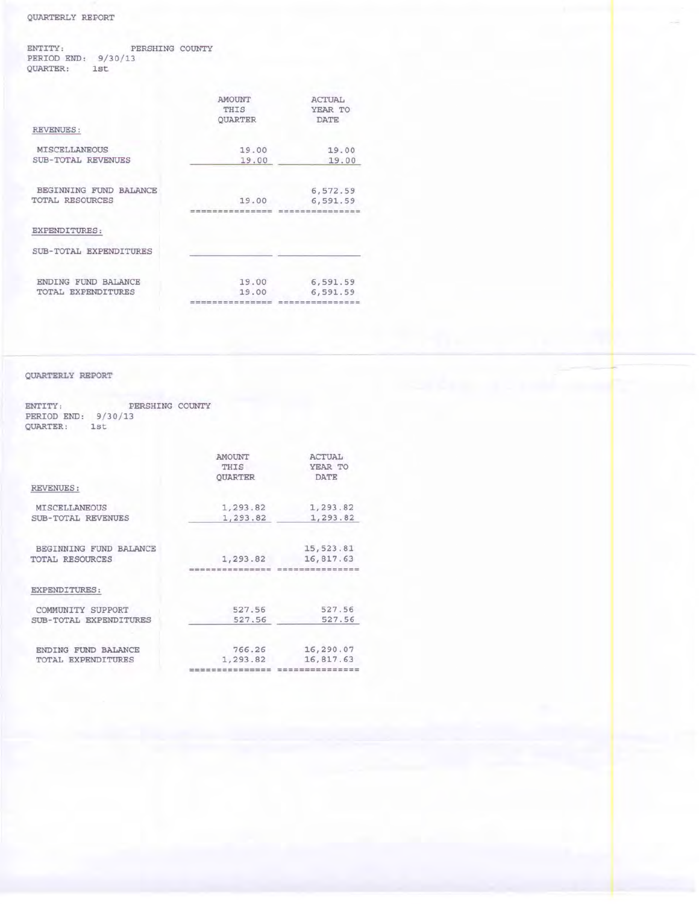## QUARTERLY REPORT

ENTITY: PERSHING COUNTY<br>PERIOD END: 9/30/13<br>QUARTER: 1st

|                        | <b>AMOUNT</b><br>THIS<br><b>OUARTER</b> | ACTUAL<br>YEAR TO<br><b>DATE</b> |
|------------------------|-----------------------------------------|----------------------------------|
| <b>REVENUES:</b>       |                                         |                                  |
| <b>MISCELLANEOUS</b>   | 19.00                                   | 19.00                            |
| SUB-TOTAL REVENUES     | 19.00                                   | 19.00                            |
| BEGINNING FUND BALANCE |                                         | 6,572.59                         |
| TOTAL RESOURCES        | 19.00                                   | 6,591.59                         |
| EXPENDITURES:          |                                         |                                  |
| SUB-TOTAL EXPENDITURES |                                         |                                  |
| ENDING FUND BALANCE    | 19.00                                   | 6,591.59                         |
| TOTAL EXPENDITURES     | 19.00<br>--------------------           | 6,591.59<br>---------------      |
|                        |                                         |                                  |

## QUARTERLY REPORT

ENTITY: PERSHING COUNTY<br>PERIOD END: 9/30/13<br>QUARTER: 1st

|                        | <b>AMOUNT</b>  | <b>ACTUAL</b>                                                       |
|------------------------|----------------|---------------------------------------------------------------------|
|                        | THIS           | YEAR TO                                                             |
|                        | <b>OUARTER</b> | <b>DATE</b>                                                         |
| REVENUES:              |                |                                                                     |
| <b>MISCELLANEOUS</b>   | 1,293.82       | 1,293.82                                                            |
| SUB-TOTAL REVENUES     | 1,293.82       | 1,293.82                                                            |
| BEGINNING FUND BALANCE |                | 15, 523.81                                                          |
| <b>TOTAL RESOURCES</b> | 1,293.82       | 16,817.63                                                           |
|                        |                |                                                                     |
| EXPENDITURES:          |                |                                                                     |
| COMMUNITY SUPPORT      | 527.56         | 527.56                                                              |
| SUB-TOTAL EXPENDITURES | 527.56         | 527.56                                                              |
| ENDING FUND BALANCE    | 766.26         | 16,290.07                                                           |
| TOTAL EXPENDITURES     | 1,293.82       | 16,817.63                                                           |
|                        |                | tion and you can be was you can you was you was you due may had not |